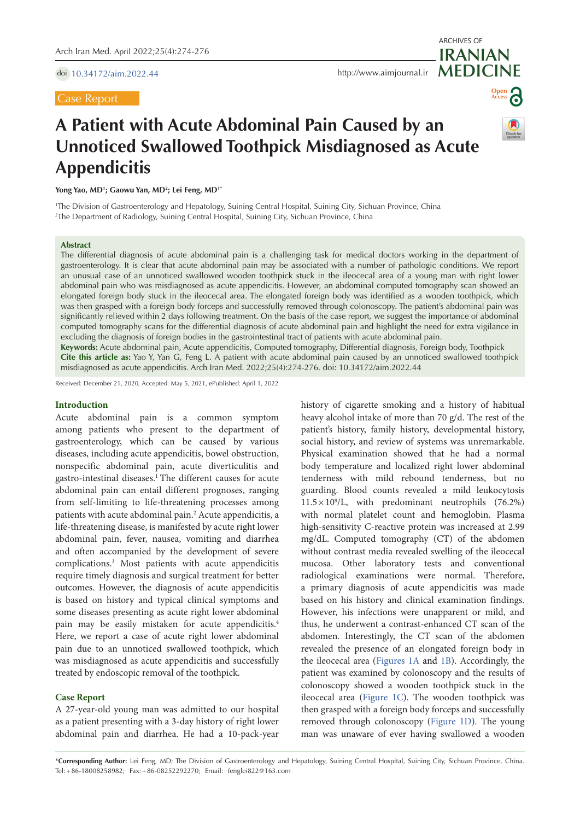doi [10.34172/aim.2022.44](https://doi.org/10.34172/aim.2022.44)

Case Report

**MEDICINE** <http://www.aimjournal.ir>



ARCHIVES OF

**IRANIAN**

# **A Patient with Acute Abdominal Pain Caused by an Unnoticed Swallowed Toothpick Misdiagnosed as Acute Appendicitis**

**Yong Yao, MD1 ; Gaowu Yan, MD2 ; Lei Feng, MD1\***

1 The Division of Gastroenterology and Hepatology, Suining Central Hospital, Suining City, Sichuan Province, China 2 The Department of Radiology, Suining Central Hospital, Suining City, Sichuan Province, China

## **Abstract**

The differential diagnosis of acute abdominal pain is a challenging task for medical doctors working in the department of gastroenterology. It is clear that acute abdominal pain may be associated with a number of pathologic conditions. We report an unusual case of an unnoticed swallowed wooden toothpick stuck in the ileocecal area of a young man with right lower abdominal pain who was misdiagnosed as acute appendicitis. However, an abdominal computed tomography scan showed an elongated foreign body stuck in the ileocecal area. The elongated foreign body was identified as a wooden toothpick, which was then grasped with a foreign body forceps and successfully removed through colonoscopy. The patient's abdominal pain was significantly relieved within 2 days following treatment. On the basis of the case report, we suggest the importance of abdominal computed tomography scans for the differential diagnosis of acute abdominal pain and highlight the need for extra vigilance in excluding the diagnosis of foreign bodies in the gastrointestinal tract of patients with acute abdominal pain.

**Keywords:** Acute abdominal pain, Acute appendicitis, Computed tomography, Differential diagnosis, Foreign body, Toothpick **Cite this article as:** Yao Y, Yan G, Feng L. A patient with acute abdominal pain caused by an unnoticed swallowed toothpick misdiagnosed as acute appendicitis. Arch Iran Med. 2022;25(4):274-276. doi: 10.34172/aim.2022.44

Received: December 21, 2020, Accepted: May 5, 2021, ePublished: April 1, 2022

### **Introduction**

Acute abdominal pain is a common symptom among patients who present to the department of gastroenterology, which can be caused by various diseases, including acute appendicitis, bowel obstruction, nonspecific abdominal pain, acute diverticulitis and gastro-intestinal diseases.1 The different causes for acute abdominal pain can entail different prognoses, ranging from self-limiting to life-threatening processes among patients with acute abdominal pain.2 Acute appendicitis, a life-threatening disease, is manifested by acute right lower abdominal pain, fever, nausea, vomiting and diarrhea and often accompanied by the development of severe complications.3 Most patients with acute appendicitis require timely diagnosis and surgical treatment for better outcomes. However, the diagnosis of acute appendicitis is based on history and typical clinical symptoms and some diseases presenting as acute right lower abdominal pain may be easily mistaken for acute appendicitis.4 Here, we report a case of acute right lower abdominal pain due to an unnoticed swallowed toothpick, which was misdiagnosed as acute appendicitis and successfully treated by endoscopic removal of the toothpick.

# **Case Report**

A 27-year-old young man was admitted to our hospital as a patient presenting with a 3-day history of right lower abdominal pain and diarrhea. He had a 10-pack-year history of cigarette smoking and a history of habitual heavy alcohol intake of more than 70 g/d. The rest of the patient's history, family history, developmental history, social history, and review of systems was unremarkable. Physical examination showed that he had a normal body temperature and localized right lower abdominal tenderness with mild rebound tenderness, but no guarding. Blood counts revealed a mild leukocytosis  $11.5 \times 10^9$ /L, with predominant neutrophils (76.2%) with normal platelet count and hemoglobin. Plasma high-sensitivity C-reactive protein was increased at 2.99 mg/dL. Computed tomography (CT) of the abdomen without contrast media revealed swelling of the ileocecal mucosa. Other laboratory tests and conventional radiological examinations were normal. Therefore, a primary diagnosis of acute appendicitis was made based on his history and clinical examination findings. However, his infections were unapparent or mild, and thus, he underwent a contrast-enhanced CT scan of the abdomen. Interestingly, the CT scan of the abdomen revealed the presence of an elongated foreign body in the ileocecal area [\(Figures](#page-1-0) 1A and [1B](#page-1-0)). Accordingly, the patient was examined by colonoscopy and the results of colonoscopy showed a wooden toothpick stuck in the ileocecal area [\(Figure](#page-1-0) 1C). The wooden toothpick was then grasped with a foreign body forceps and successfully removed through colonoscopy [\(Figure](#page-1-0) 1D). The young man was unaware of ever having swallowed a wooden

\***Corresponding Author:** Lei Feng, MD; The Division of Gastroenterology and Hepatology, Suining Central Hospital, Suining City, Sichuan Province, China. Tel:+86-18008258982; Fax:+86-08252292270; Email: fenglei822@163.com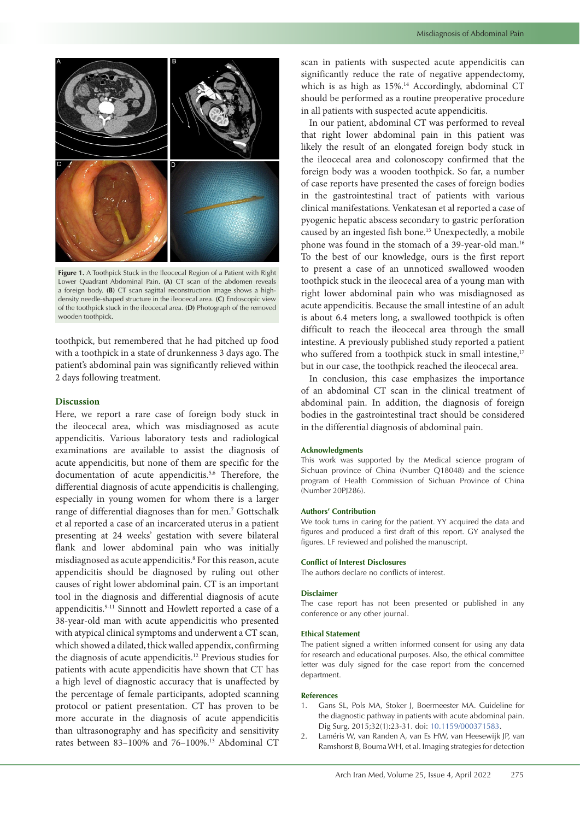<span id="page-1-0"></span>

**Figure 1.** A Toothpick Stuck in the Ileocecal Region of a Patient with Right Lower Quadrant Abdominal Pain. **(A)** CT scan of the abdomen reveals a foreign body. **(B)** CT scan sagittal reconstruction image shows a highdensity needle-shaped structure in the ileocecal area. **(C)** Endoscopic view of the toothpick stuck in the ileocecal area. **(D)** Photograph of the removed wooden toothpick.

toothpick, but remembered that he had pitched up food with a toothpick in a state of drunkenness 3 days ago. The patient's abdominal pain was significantly relieved within 2 days following treatment.

# **Discussion**

Here, we report a rare case of foreign body stuck in the ileocecal area, which was misdiagnosed as acute appendicitis. Various laboratory tests and radiological examinations are available to assist the diagnosis of acute appendicitis, but none of them are specific for the documentation of acute appendicitis.<sup>5,6</sup> Therefore, the differential diagnosis of acute appendicitis is challenging, especially in young women for whom there is a larger range of differential diagnoses than for men.7 Gottschalk et al reported a case of an incarcerated uterus in a patient presenting at 24 weeks' gestation with severe bilateral flank and lower abdominal pain who was initially misdiagnosed as acute appendicitis.8 For this reason, acute appendicitis should be diagnosed by ruling out other causes of right lower abdominal pain. CT is an important tool in the diagnosis and differential diagnosis of acute appendicitis.9-11 Sinnott and Howlett reported a case of a 38-year-old man with acute appendicitis who presented with atypical clinical symptoms and underwent a CT scan, which showed a dilated, thick walled appendix, confirming the diagnosis of acute appendicitis.12 Previous studies for patients with acute appendicitis have shown that CT has a high level of diagnostic accuracy that is unaffected by the percentage of female participants, adopted scanning protocol or patient presentation. CT has proven to be more accurate in the diagnosis of acute appendicitis than ultrasonography and has specificity and sensitivity rates between 83–100% and 76–100%.13 Abdominal CT scan in patients with suspected acute appendicitis can significantly reduce the rate of negative appendectomy, which is as high as 15%.<sup>14</sup> Accordingly, abdominal CT should be performed as a routine preoperative procedure in all patients with suspected acute appendicitis.

In our patient, abdominal CT was performed to reveal that right lower abdominal pain in this patient was likely the result of an elongated foreign body stuck in the ileocecal area and colonoscopy confirmed that the foreign body was a wooden toothpick. So far, a number of case reports have presented the cases of foreign bodies in the gastrointestinal tract of patients with various clinical manifestations. Venkatesan et al reported a case of pyogenic hepatic abscess secondary to gastric perforation caused by an ingested fish bone.15 Unexpectedly, a mobile phone was found in the stomach of a 39-year-old man.16 To the best of our knowledge, ours is the first report to present a case of an unnoticed swallowed wooden toothpick stuck in the ileocecal area of a young man with right lower abdominal pain who was misdiagnosed as acute appendicitis. Because the small intestine of an adult is about 6.4 meters long, a swallowed toothpick is often difficult to reach the ileocecal area through the small intestine. A previously published study reported a patient who suffered from a toothpick stuck in small intestine,<sup>17</sup> but in our case, the toothpick reached the ileocecal area.

In conclusion, this case emphasizes the importance of an abdominal CT scan in the clinical treatment of abdominal pain. In addition, the diagnosis of foreign bodies in the gastrointestinal tract should be considered in the differential diagnosis of abdominal pain.

#### **Acknowledgments**

This work was supported by the Medical science program of Sichuan province of China (Number Q18048) and the science program of Health Commission of Sichuan Province of China (Number 20PJ286).

#### **Authors' Contribution**

We took turns in caring for the patient. YY acquired the data and figures and produced a first draft of this report. GY analysed the figures. LF reviewed and polished the manuscript.

#### **Conflict of Interest Disclosures**

The authors declare no conflicts of interest.

#### **Disclaimer**

The case report has not been presented or published in any conference or any other journal.

## **Ethical Statement**

The patient signed a written informed consent for using any data for research and educational purposes. Also, the ethical committee letter was duly signed for the case report from the concerned department.

#### **References**

- 1. Gans SL, Pols MA, Stoker J, Boermeester MA. Guideline for the diagnostic pathway in patients with acute abdominal pain. Dig Surg. 2015;32(1):23-31. doi: [10.1159/000371583.](https://doi.org/10.1159/000371583)
- 2. Laméris W, van Randen A, van Es HW, van Heesewijk JP, van Ramshorst B, Bouma WH, et al. Imaging strategies for detection